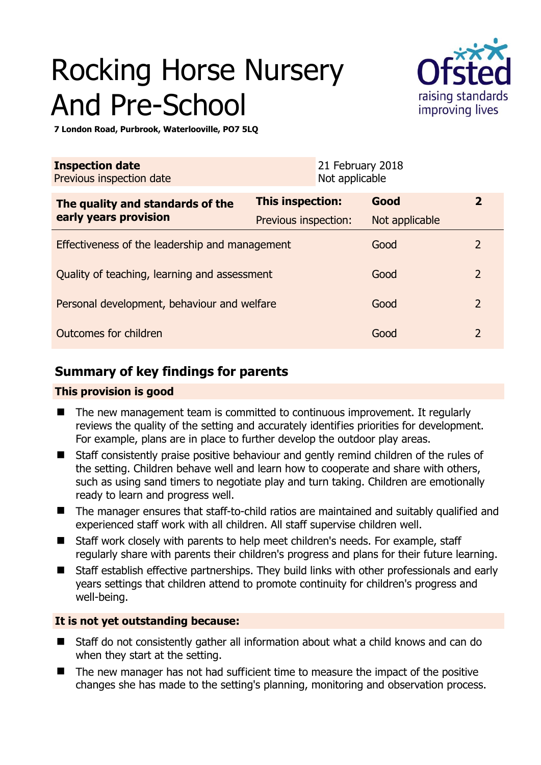# Rocking Horse Nursery And Pre-School



**7 London Road, Purbrook, Waterlooville, PO7 5LQ** 

| <b>Inspection date</b><br>Previous inspection date |                         | 21 February 2018<br>Not applicable |                |                |
|----------------------------------------------------|-------------------------|------------------------------------|----------------|----------------|
| The quality and standards of the                   | <b>This inspection:</b> |                                    | Good           | $\mathbf{2}$   |
| early years provision                              | Previous inspection:    |                                    | Not applicable |                |
| Effectiveness of the leadership and management     |                         |                                    | Good           | 2              |
| Quality of teaching, learning and assessment       |                         |                                    | Good           | $\overline{2}$ |
| Personal development, behaviour and welfare        |                         |                                    | Good           | $\overline{2}$ |
| Outcomes for children                              |                         |                                    | Good           | $\overline{2}$ |

# **Summary of key findings for parents**

## **This provision is good**

- The new management team is committed to continuous improvement. It regularly reviews the quality of the setting and accurately identifies priorities for development. For example, plans are in place to further develop the outdoor play areas.
- Staff consistently praise positive behaviour and gently remind children of the rules of the setting. Children behave well and learn how to cooperate and share with others, such as using sand timers to negotiate play and turn taking. Children are emotionally ready to learn and progress well.
- The manager ensures that staff-to-child ratios are maintained and suitably qualified and experienced staff work with all children. All staff supervise children well.
- Staff work closely with parents to help meet children's needs. For example, staff regularly share with parents their children's progress and plans for their future learning.
- Staff establish effective partnerships. They build links with other professionals and early years settings that children attend to promote continuity for children's progress and well-being.

## **It is not yet outstanding because:**

- Staff do not consistently gather all information about what a child knows and can do when they start at the setting.
- The new manager has not had sufficient time to measure the impact of the positive changes she has made to the setting's planning, monitoring and observation process.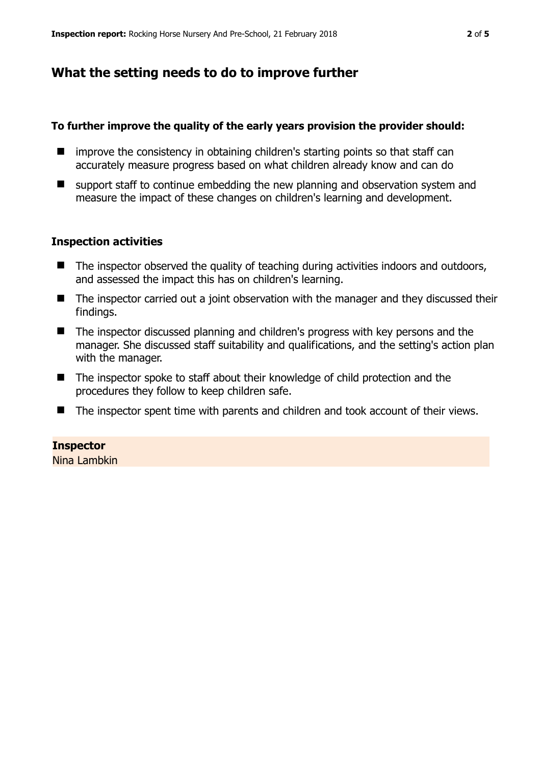# **What the setting needs to do to improve further**

#### **To further improve the quality of the early years provision the provider should:**

- $\blacksquare$  improve the consistency in obtaining children's starting points so that staff can accurately measure progress based on what children already know and can do
- $\blacksquare$  support staff to continue embedding the new planning and observation system and measure the impact of these changes on children's learning and development.

#### **Inspection activities**

- $\blacksquare$  The inspector observed the quality of teaching during activities indoors and outdoors, and assessed the impact this has on children's learning.
- The inspector carried out a joint observation with the manager and they discussed their findings.
- The inspector discussed planning and children's progress with key persons and the manager. She discussed staff suitability and qualifications, and the setting's action plan with the manager.
- The inspector spoke to staff about their knowledge of child protection and the procedures they follow to keep children safe.
- The inspector spent time with parents and children and took account of their views.

#### **Inspector**

Nina Lambkin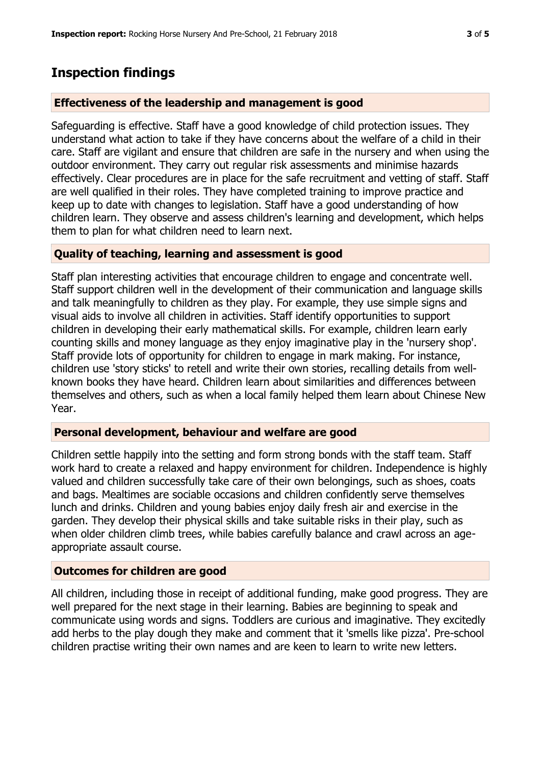# **Inspection findings**

#### **Effectiveness of the leadership and management is good**

Safeguarding is effective. Staff have a good knowledge of child protection issues. They understand what action to take if they have concerns about the welfare of a child in their care. Staff are vigilant and ensure that children are safe in the nursery and when using the outdoor environment. They carry out regular risk assessments and minimise hazards effectively. Clear procedures are in place for the safe recruitment and vetting of staff. Staff are well qualified in their roles. They have completed training to improve practice and keep up to date with changes to legislation. Staff have a good understanding of how children learn. They observe and assess children's learning and development, which helps them to plan for what children need to learn next.

#### **Quality of teaching, learning and assessment is good**

Staff plan interesting activities that encourage children to engage and concentrate well. Staff support children well in the development of their communication and language skills and talk meaningfully to children as they play. For example, they use simple signs and visual aids to involve all children in activities. Staff identify opportunities to support children in developing their early mathematical skills. For example, children learn early counting skills and money language as they enjoy imaginative play in the 'nursery shop'. Staff provide lots of opportunity for children to engage in mark making. For instance, children use 'story sticks' to retell and write their own stories, recalling details from wellknown books they have heard. Children learn about similarities and differences between themselves and others, such as when a local family helped them learn about Chinese New Year.

## **Personal development, behaviour and welfare are good**

Children settle happily into the setting and form strong bonds with the staff team. Staff work hard to create a relaxed and happy environment for children. Independence is highly valued and children successfully take care of their own belongings, such as shoes, coats and bags. Mealtimes are sociable occasions and children confidently serve themselves lunch and drinks. Children and young babies enjoy daily fresh air and exercise in the garden. They develop their physical skills and take suitable risks in their play, such as when older children climb trees, while babies carefully balance and crawl across an ageappropriate assault course.

## **Outcomes for children are good**

All children, including those in receipt of additional funding, make good progress. They are well prepared for the next stage in their learning. Babies are beginning to speak and communicate using words and signs. Toddlers are curious and imaginative. They excitedly add herbs to the play dough they make and comment that it 'smells like pizza'. Pre-school children practise writing their own names and are keen to learn to write new letters.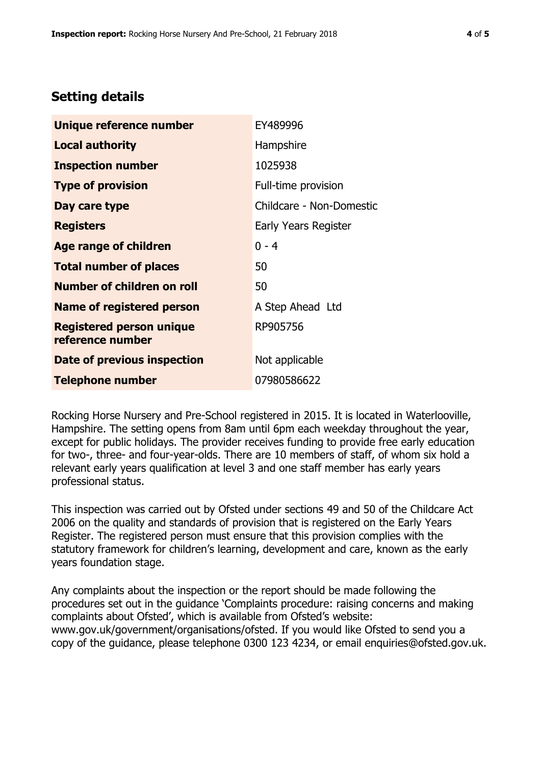## **Setting details**

| Unique reference number                             | EY489996                 |  |
|-----------------------------------------------------|--------------------------|--|
| Local authority                                     | Hampshire                |  |
| <b>Inspection number</b>                            | 1025938                  |  |
| <b>Type of provision</b>                            | Full-time provision      |  |
| Day care type                                       | Childcare - Non-Domestic |  |
| <b>Registers</b>                                    | Early Years Register     |  |
| <b>Age range of children</b>                        | $0 - 4$                  |  |
| <b>Total number of places</b>                       | 50                       |  |
| <b>Number of children on roll</b>                   | 50                       |  |
| <b>Name of registered person</b>                    | A Step Ahead Ltd         |  |
| <b>Registered person unique</b><br>reference number | RP905756                 |  |
| Date of previous inspection                         | Not applicable           |  |
| <b>Telephone number</b>                             | 07980586622              |  |

Rocking Horse Nursery and Pre-School registered in 2015. It is located in Waterlooville, Hampshire. The setting opens from 8am until 6pm each weekday throughout the year, except for public holidays. The provider receives funding to provide free early education for two-, three- and four-year-olds. There are 10 members of staff, of whom six hold a relevant early years qualification at level 3 and one staff member has early years professional status.

This inspection was carried out by Ofsted under sections 49 and 50 of the Childcare Act 2006 on the quality and standards of provision that is registered on the Early Years Register. The registered person must ensure that this provision complies with the statutory framework for children's learning, development and care, known as the early years foundation stage.

Any complaints about the inspection or the report should be made following the procedures set out in the guidance 'Complaints procedure: raising concerns and making complaints about Ofsted', which is available from Ofsted's website: www.gov.uk/government/organisations/ofsted. If you would like Ofsted to send you a copy of the guidance, please telephone 0300 123 4234, or email enquiries@ofsted.gov.uk.